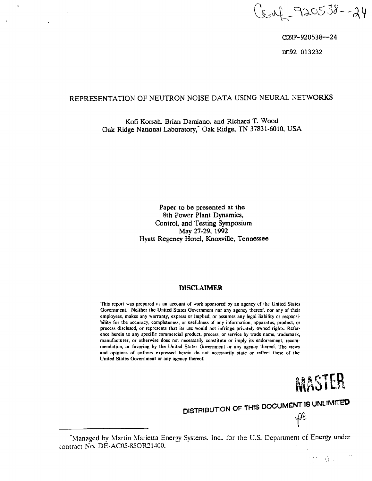Cenf - 920538--24

GONF-920538—24 DE92 013232

# **REPRESENTATION OF NEUTRON NOISE DATA USING NEURAL NETWORKS**

**Kofi Korsah, Brian Damiano, and Richard T. Wood Oak Ridge National Laboratory," Oak Ridge, TN 37831-6010, USA**

> **Paper to be presented at the 8th Power Plant Dynamics, Control, and Testing Symposium May 27-29, 1992 Hyatt Regency Hotel, Knoxville, Tennessee**

### **DISCLAIMER**

**This report was prepared as an account of work sponsored by an agency cf the United States Government. Neither the United States Government nor any agency thereof, nor any of their employees, makes any warranty, express or implied, or assumes any legal liability or responsibility for the accuracy, completeness, or usefulness of any information, apparatus, product, or process disclosed, or represents that its use would not infringe privately owned rights. Reference herein to any specific commercial product, process, or service by trade name, trademark, manufacturer, or otherwise does not necessarily constitute or imply its endorsement, recommendation, or favoring by the United States Government or any agency thereof. The views and opinions of authors expressed herein do not necessarily state or reflect those of the United States Government or any agency thereof.**



 $\mathbb{R}^{n \times n}$   $\mathbb{Q}$  ,  $\mathbb{R}^{n \times n}$ 

 $\mathscr{P}$ 

**DISTRIBUTION OF THIS DOCUMENT IS UNLIMITED** 

<sup>&</sup>quot;Managed by Martin Marietta Energy Systems. Inc.. for the U.S. Department of **Energy** under contract **No.** DE-AC05-85OR21400.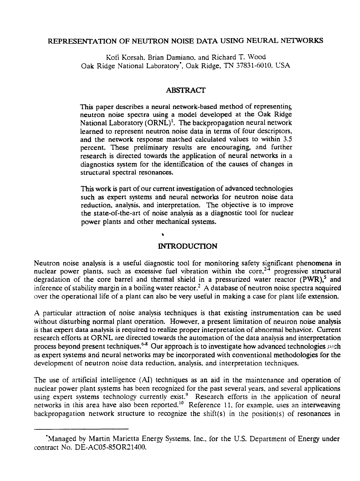# REPRESENTATION OF NEUTRON NOISE DATA USING NEURAL NETWORKS

Kofi Korsah. Brian Damiano. and Richard T. Wood Oak Ridge National Laboratory', Oak Ridge, TN 37831-6010, USA

### **ABSTRACT**

This paper describes a neural network-based method of representing neutron noise spectra using a model developed at the Oak Ridge National Laboratory (ORNL)<sup>1</sup>. The backpropagation neural network learned to represent neutron noise data in terms of four descriptors, and the network response matched calculated values to within 3.5 percent. These preliminary results are encouraging, and further research is directed towards the application of neural networks in a diagnostics system for the identification of the causes of changes in structural spectral resonances.

This work is part of our current investigation of advanced technologies such as expert systems and neural networks for neutron noise data reduction, analysis, and interpretation. The objective is to improve the state-of-the-art of noise analysis as a diagnostic tool for nuclear power plants and other mechanical systems.

## **INTRODUCTION**

Neutron noise analysis is a useful diagnostic tool for monitoring safety significant phenomena in nuclear power plants, such as excessive fuel vibration within the core,  $2\frac{1}{4}$  progressive structural degradation of the core barrel and thermal shield in a pressurized water reactor  $(PWR)$ , and inference of stability margin in a boiling water reactor.<sup>2</sup> A database of neutron noise spectra acquired over the operational life of a plant can also be very useful in making a case for plant life extension.

A particular attraction of noise analysis techniques is that existing instrumentation can be used without disturbing normal plant operation. However, a present limitation of neutron noise analysis is that expert data analysis is required to realize proper interpretation of abnormal behavior. Current research efforts at ORNL are directed towards the automation of the data analysis and interpretation process beyond present techniques.<sup>6-8</sup> Our approach is to investigate how advanced technologies such as expert systems and neural networks may be incorporated with conventional methodologies for the development of neutron noise data reduction, analysis, and interpretation techniques.

The use of artificial intelligence (AI) techniques as an aid in the maintenance and operation of nuclear power plant systems has been recognized for the past several years, and several applications using expert systems technology currently exist.<sup>9</sup> Research efforts in the application of neural networks in this area have also been reported.<sup>10</sup> Reference 11. for example, uses an interweaving backpropagation network structure to recognize the shift(s) in the position(s) of resonances in

<sup>&</sup>quot;Manaced by Martin Marietta Energy Systems, Inc., for the U.S. Department of Energy under contract No. DE-AC05-85OR21400.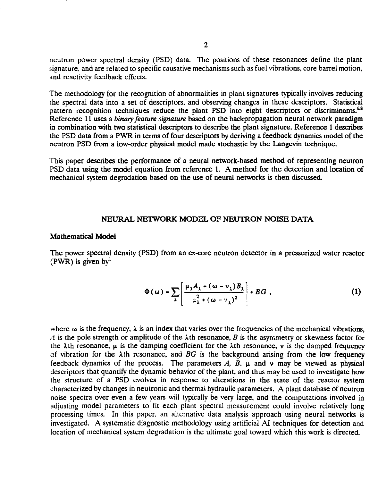neutron power spectral density (PSD) data. The positions of these resonances define the plant signature, and are related to specific causative mechanisms such as fuel vibrations, core barrel motion, and reactivity feedback effects.

The methodology for the recognition of abnormalities in plant signatures typically involves reducing the spectral data into a set of descriptors, and observing changes in these descriptors. Statistical pattern recognition techniques reduce the plant PSD into eight descriptors or discriminants.<sup>6,8</sup> Reference 11 uses a *binary feature signature* based on the backpropagation neural network paradigm in combination with two statistical descriptors to describe the plant signature. Reference 1 describes the PSD data from a PWR in terms of four descriptors by deriving a feedback dynamics model of the neutron PSD from a low-order physical model made stochastic by the Langevin technique.

This paper describes the performance of a neural network-based method of representing neutron PSD data using the model equation from reference 1. A method for the detection and location of mechanical system degradation based on the use of neural networks is then discussed.

#### **NEURAL NETWORK MODEL OF NEUTRON NOISE DATA**

#### **Mathematical Model**

The power spectral density (PSD) from an ex-core neutron detector in a pressurized water reactor  $(PWR)$  is given by  $\frac{1}{2}$ 

$$
\Phi(\omega) = \sum_{\lambda} \left[ \frac{\mu_{\lambda} A_{\lambda} + (\omega - \nu_{\lambda}) B_{\lambda}}{\mu_{\lambda}^{2} + (\omega - \nu_{\lambda})^{2}} \right] + BG , \qquad (1)
$$

where  $\omega$  is the frequency,  $\lambda$  is an index that varies over the frequencies of the mechanical vibrations, *A* is the pole strength or amplitude of the  $\lambda$ th resonance, *B* is the asymmetry or skewness factor for the  $\lambda$ th resonance,  $\mu$  is the damping coefficient for the  $\lambda$ th resonance, v is the damped frequency of vibration for the  $\lambda$ th resonance, and *BG* is the background arising from the low frequency feedback dynamics of the process. The parameters  $A$ ,  $\overline{B}$ ,  $\mu$  and  $\nu$  may be viewed as physical descriptors that quantify the dynamic behavior of the plant, and thus may be used to investigate how the structure of a PSD evolves in response to alterations in the state of the reactor system characterized by changes in neutronic and thermal hydraulic parameters. A plant database of neutron noise spectra over even a few years will typically be very large, and the computations involved in adjusting model parameters to fit each plant spectral measurement could involve relatively long processing times. In this paper, an alternative data analysis approach using neural networks is investigated. A systematic diagnostic methodology using artificial AI techniques for detection and location of mechanical system degradation is the ultimate goal toward which this work is directed.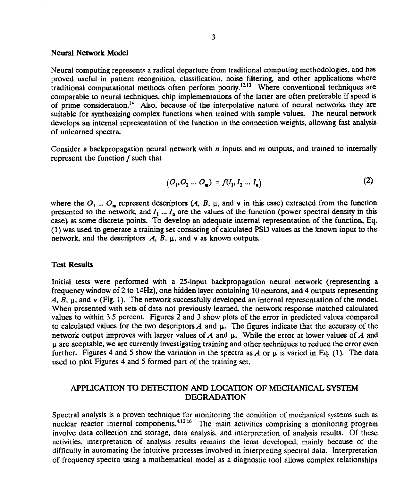### Neural Network Model

Neural computing represents a radical departure from traditional computing methodologies, and has proved useful in pattern recognition, classification, noise filtering, and other applications where traditional computational methods often perform poorly.<sup>1213</sup> Where conventional techniques are comparable to neural techniques, chip implementations of the latter are often preferable if speed is of prime consideration.<sup>14</sup> Also, because of the interpolative nature of neural networks they are suitable for synthesizing complex functions when trained with sample values. The neural network develops an internal representation of the function in the connection weights, allowing fast analysis of unlearned spectra.

Consider a backpropagation neural network with *n* inputs and *m* outputs, and trained to internally represent the function  $f$  such that

$$
(O_1, O_2 \dots O_m) = f(I_1, I_2 \dots I_n)
$$
 (2)

where the  $O_1$  ...  $O_m$  represent descriptors (A, B,  $\mu$ , and v in this case) extracted from the function presented to the network, and  $I_1 \ldots I_n$  are the values of the function (power spectral density in this case) at some discrete points. To develop an adequate internal representation of the function, Eq. (1) was used to generate a training set consisting of calculated PSD values as the known input to the network, and the descriptors *A, B,* u, and v as known outputs.

### Test Results

Initial tests were performed with a 25-input backpropagation neural network (representing a frequency window of 2 to 14Hz), one hidden layer containing 10 neurons, and 4 outputs representing *A, B, \i,* and v (Fig. 1). The network successfully developed an internal representation of the model. When presented with sets of data not previously learned, the network response matched calculated values to within 3.5 percent. Figures 2 and 3 show plots of the error in predicted values compared to calculated values for the two descriptors  $A$  and  $\mu$ . The figures indicate that the accuracy of the network output improves with larger values of *A* and u. While the error at lower values of *A* and  $\mu$  are aceptable, we are currently investigating training and other techniques to reduce the error even further. Figures 4 and 5 show the variation in the spectra as  $A$  or  $\mu$  is varied in Eq. (1). The data used to plot Figures 4 and 5 formed part of the training set.

# APPLICATION TO DETECTION AND LOCATION OF MECHANICAL SYSTEM DEGRADATION

Spectral analysis is a proven technique for monitoring the condition of mechanical systems such as nuclear reactor internal components.<sup>4.15,16</sup> The main activities comprising a monitoring program involve data collection and storage, data analysis, and interpretation of analysis results. Of these activities, interpretation of analysis results remains the least developed, mainly because of the difficulty in automating the intuitive processes involved in interpreting spectral data. Interpretation of frequency spectra using a mathematical model as a diagnostic tool allows complex relationships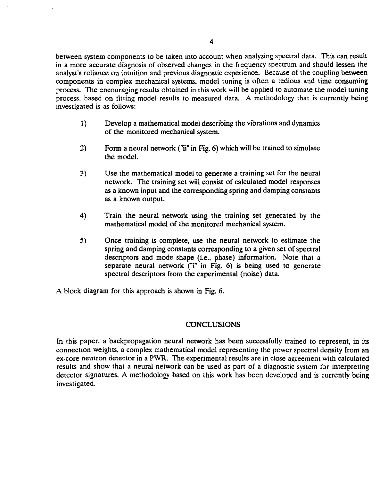between system components to be taken into account when analyzing spectral data. This can result in a more accurate diagnosis of observed changes in the frequency spectrum and should lessen the analyst's reliance on intuition and previous diagnostic experience. Because of the coupling between components in complex mechanical systems, model tuning is often a tedious and time consuming process. The encouraging results obtained in this work will be applied to automate the model tuning process, based on fitting model results to measured data. A methodology that is currently being investigated is as follows:

- 1) Develop a mathematical model describing the vibrations and dynamics of the monitored mechanical system.
- 2) Form a neural network ("ii" in Fig. 6) which will be trained to simulate the model.
- 3) Use the mathematical model to generate a training set for the neural network. The training set will consist of calculated model responses as a known input and the corresponding spring and damping constants as a known output.
- 4) Train the neural network using the training set generated by the mathematical model of the monitored mechanical system.
- 5) Once training is complete, use the neural network to estimate the spring and damping constants corresponding to a given set of spectral descriptors and mode shape (i.e., phase) information. Note that a separate neural network  $(T_1^n$  in Fig. 6) is being used to generate spectral descriptors from the experimental (noise) data.

A block diagram for this approach is shown in Fig. 6.

### **CONCLUSIONS**

In this paper, a backpropagation neural network has been successfully trained to represent, in its connection weights, a complex mathematical model representing the power spectral density from an ex-core neutron detector in a PWR. The experimental results are in close agreement with calculated results and show that a neural network can be used as part of a diagnostic system for interpreting detector signatures. A methodology based on this work has been developed and is currently being investigated.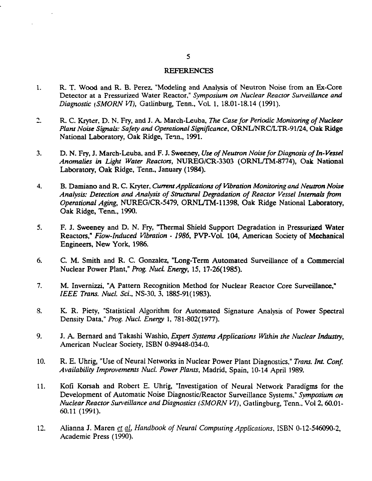#### REFERENCES

- 1. R. T. Wood and R. B. Perez, "Modeling and Analysis of Neutron Noise from an Ex-Core Detector at a Pressurized Water Reactor," *Symposium on Nuclear Reactor Surveillance and Diagnostic [SMORN VI),* Gatlinburg, Tenn., Vol. 1, 18.01-18.14 (1991).
- 2. R. C. Kryter, D. N. Fry, and J. A. March-Leuba, *The Case for Periodic Monitoring of Nuclear Plant Noise Signals: Safety and Operational Significance,* ORNL/NRC/LTR-91/24, Oak Ridge National Laboratory, Oak Ridge, Tenn., 1991.
- 3. D. N. Fry, J. March-Leuba, and F. J. Sweeney, *Use of Neutron Noise for Diagnosis ofln-Vessel Anomalies in Light Water Reactors,* NUREG/CR-3303 (ORNL/TM-8774), Oak National Laboratory, Oak Ridge, Tenn., January (1984).
- 4. B. Damiano and R. C. Kryter, *Current Applications of Vibration Monitoring and Neutron Noise Analysis: Detection and Analysis of Structural Degradation of Reactor Vessel Internals from Operational Aging,* NUREG/CR-5479, ORNL/TM-11398, Oak Ridge National Laboratory, Oak Ridge, Tenn., 1990.
- 5. F. J. Sweeney and D. N. Fry, "Thermal Shield Support Degradation in Pressurized Water Reactors," *Flow-Induced Vibration* - *1986,* PVP-Vol. 104, American Society of Mechanical Engineers, New York, 1986.
- 6. C. M. Smith and R. C. Gonzalez, "Long-Term Automated Surveillance of a Commercial Nuclear Power Plant," *Prog. Nucl. Energy,* 15, 17-26(1985).
- 7. M. Invernizzi, "A Pattern Recognition Method for Nuclear Reactor Core Surveillance," *IEEE Trans. Nucl. Sci.,* NS-30, 3, 1885-91(1983).
- 8. K. R. Piety, "Statistical Algorithm for Automated Signature Analysis of Power Spectral Density Data," *Prog. Nucl. Energy* 1, 781-802(1977).
- 9. J. A. Bernard and Takashi Washio, *Expert Systems Applications Within the Nuclear Industry,* American Nuclear Society, ISBN 0-89448-034-0.
- 10. R. E. Unrig, "Use of Neural Networks in Nuclear Power Plant Diagnostics," *Trans. Int. Conf. Availability Improvements Nucl. Power Plants,* Madrid, Spain, 10-14 April 1989.
- 11. Kofi Korsah and Robert E. Uhrig, "Investigation of Neural Network Paradigms for the Development of Automatic Noise Diagnostic/Reactor Surveillance Systems," *Symposium on Nuclear Reactor Surveillance and Diagnostics (SMORN VI),* Gatlingburg, Tenn., Vol 2, 60.01- 60.11 (1991).
- 12. Alianna J. Maren *e± aL, Handbook of Neural Computing Applications,* ISBN 0-12-546090-2, Academic Press (1990).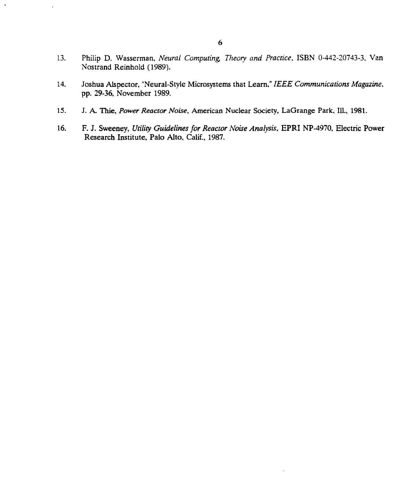- 13. Philip D. Wasserman, *Neural Computing, Theory and Practice.* ISBN 0-442-20743-3. Van Nostrand Reinhold (1989).
- 14. Joshua Alspector, "Neural-Style Microsystems that Learn," *IEEE Communications Magazine,* pp. 29-36, November 1989.
- 15. J. A. Thie, *Power Reactor Noise,* American Nuclear Society, LaGrange Park, 111., 1981.
- 16. F. J. Sweeney, *Utility Guidelines for Reactor Noise Analysis,* EPRI NP-4970, Electric Power Research Institute, Palo Alto, Calif., 1987.

 $\ddot{\phantom{0}}$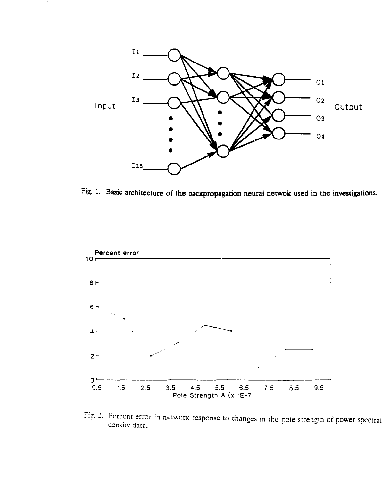

٠

**Fig. 1. Basic architecture of the backpropagation neural netwok used in the investigations.**



Fig. 2. Percent error in network response to changes in the pole strength of power spectral density data.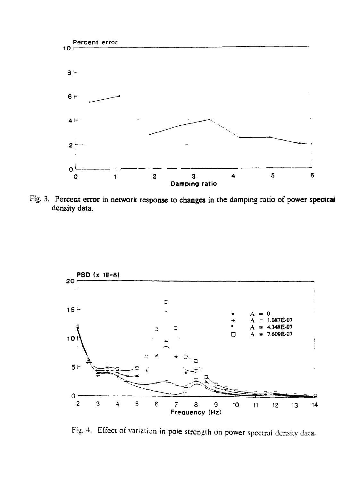

Fig. **3. Percent error in network response to changes in the damping ratio of power spectral density data.**



Fig. 4. Effect of variation in pole strength on power spectrni density data.